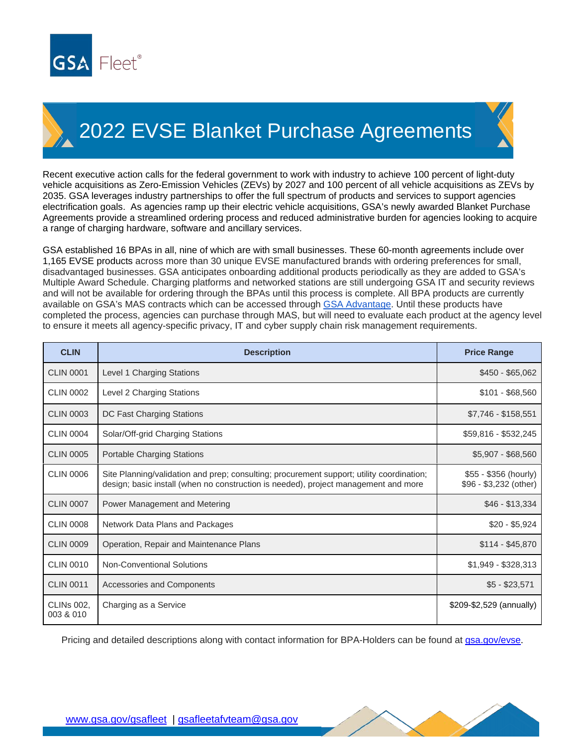

## 2022 EVSE Blanket Purchase Agreements

Recent executive action calls for the federal government to work with industry to achieve 100 percent of light-duty vehicle acquisitions as Zero-Emission Vehicles (ZEVs) by 2027 and 100 percent of all vehicle acquisitions as ZEVs by 2035. GSA leverages industry partnerships to offer the full spectrum of products and services to support agencies electrification goals. As agencies ramp up their electric vehicle acquisitions, GSA's newly awarded Blanket Purchase Agreements provide a streamlined ordering process and reduced administrative burden for agencies looking to acquire a range of charging hardware, software and ancillary services.

GSA established 16 BPAs in all, nine of which are with small businesses. These 60-month agreements include over 1,165 EVSE products across more than 30 unique EVSE manufactured brands with ordering preferences for small, disadvantaged businesses. GSA anticipates onboarding additional products periodically as they are added to GSA's Multiple Award Schedule. Charging platforms and networked stations are still undergoing GSA IT and security reviews and will not be available for ordering through the BPAs until this process is complete. All BPA products are currently available on GSA's MAS contracts which can be accessed through [GSA Advantage.](https://www.gsaadvantage.gov/advantage/ws/main/start_page?store=ADVANTAGE) Until these products have completed the process, agencies can purchase through MAS, but will need to evaluate each product at the agency level to ensure it meets all agency-specific privacy, IT and cyber supply chain risk management requirements.

| <b>CLIN</b>                    | <b>Description</b>                                                                                                                                                               | <b>Price Range</b>                              |
|--------------------------------|----------------------------------------------------------------------------------------------------------------------------------------------------------------------------------|-------------------------------------------------|
| <b>CLIN 0001</b>               | Level 1 Charging Stations                                                                                                                                                        | $$450 - $65,062$                                |
| <b>CLIN 0002</b>               | Level 2 Charging Stations                                                                                                                                                        | $$101 - $68,560$                                |
| <b>CLIN 0003</b>               | DC Fast Charging Stations                                                                                                                                                        | \$7,746 - \$158,551                             |
| <b>CLIN 0004</b>               | Solar/Off-grid Charging Stations                                                                                                                                                 | \$59,816 - \$532,245                            |
| <b>CLIN 0005</b>               | Portable Charging Stations                                                                                                                                                       | $$5,907 - $68,560$                              |
| <b>CLIN 0006</b>               | Site Planning/validation and prep; consulting; procurement support; utility coordination;<br>design; basic install (when no construction is needed), project management and more | \$55 - \$356 (hourly)<br>\$96 - \$3,232 (other) |
| <b>CLIN 0007</b>               | Power Management and Metering                                                                                                                                                    | \$46 - \$13,334                                 |
| <b>CLIN 0008</b>               | Network Data Plans and Packages                                                                                                                                                  | $$20 - $5,924$                                  |
| <b>CLIN 0009</b>               | Operation, Repair and Maintenance Plans                                                                                                                                          | $$114 - $45,870$                                |
| <b>CLIN 0010</b>               | <b>Non-Conventional Solutions</b>                                                                                                                                                | $$1,949 - $328,313$                             |
| <b>CLIN 0011</b>               | Accessories and Components                                                                                                                                                       | $$5 - $23,571$                                  |
| <b>CLINS 002,</b><br>003 & 010 | Charging as a Service                                                                                                                                                            | \$209-\$2,529 (annually)                        |

Pricing and detailed descriptions along with contact information for BPA-Holders can be found at gsa.gov/evse.